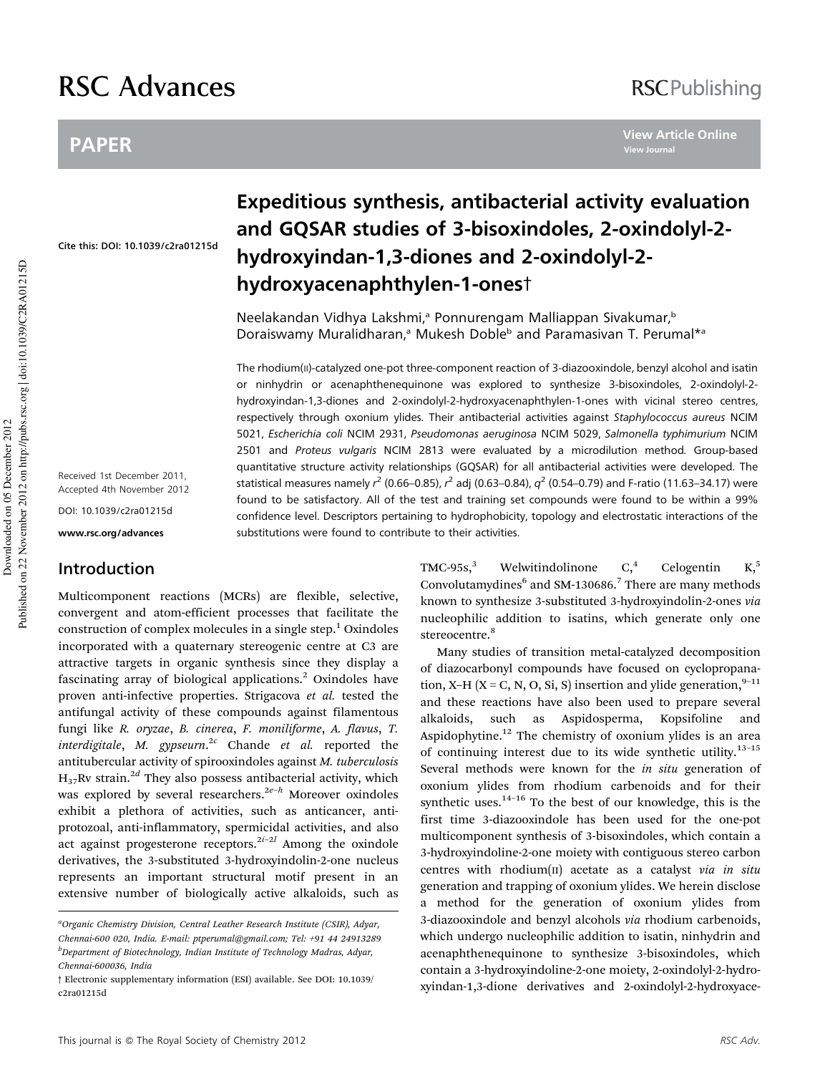# RSC Advances

## PAPER

**View Article Online View Journal**

Cite this: DOI: 10.1039/c2ra01215d

Received 1st December 2011, Accepted 4th November 2012

DOI: 10.1039/c2ra01215d

www.rsc.org/advances

## Introduction

Multicomponent reactions (MCRs) are flexible, selective, convergent and atom-efficient processes that facilitate the construction of complex molecules in a single step.<sup>1</sup> Oxindoles incorporated with a quaternary stereogenic centre at C3 are attractive targets in organic synthesis since they display a fascinating array of biological applications.<sup>2</sup> Oxindoles have proven anti-infective properties. Strigacova *et al.* tested the antifungal activity of these compounds against filamentous fungi like *R. oryzae*, *B. cinerea*, *F. moniliforme*, *A. flavus*, *T. interdigitale*, *M. gypseurn*. <sup>2</sup>*<sup>c</sup>* Chande *et al.* reported the antitubercular activity of spirooxindoles against *M. tuberculosis* H37Rv strain.2*<sup>d</sup>* They also possess antibacterial activity, which was explored by several researchers.<sup>2e–*h*</sup> Moreover oxindoles exhibit a plethora of activities, such as anticancer, antiprotozoal, anti-inflammatory, spermicidal activities, and also act against progesterone receptors.<sup>2i-2l</sup> Among the oxindole derivatives, the 3-substituted 3-hydroxyindolin-2-one nucleus represents an important structural motif present in an extensive number of biologically active alkaloids, such as

## Expeditious synthesis, antibacterial activity evaluation and GQSAR studies of 3-bisoxindoles, 2-oxindolyl-2 hydroxyindan-1,3-diones and 2-oxindolyl-2 hydroxyacenaphthylen-1-onest

Neelakandan Vidhya Lakshmi,<sup>a</sup> Ponnurengam Malliappan Sivakumar,<sup>b</sup> Doraiswamy Muralidharan,<sup>a</sup> Mukesh Doble<sup>b</sup> and Paramasivan T. Perumal\*a

The rhodium(II)-catalyzed one-pot three-component reaction of 3-diazooxindole, benzyl alcohol and isatin or ninhydrin or acenaphthenequinone was explored to synthesize 3-bisoxindoles, 2-oxindolyl-2 hydroxyindan-1,3-diones and 2-oxindolyl-2-hydroxyacenaphthylen-1-ones with vicinal stereo centres, respectively through oxonium ylides. Their antibacterial activities against Staphylococcus aureus NCIM 5021, Escherichia coli NCIM 2931, Pseudomonas aeruginosa NCIM 5029, Salmonella typhimurium NCIM 2501 and Proteus vulgaris NCIM 2813 were evaluated by a microdilution method. Group-based quantitative structure activity relationships (GQSAR) for all antibacterial activities were developed. The statistical measures namely  $r^2$  (0.66–0.85),  $r^2$  adj (0.63–0.84),  $q^2$  (0.54–0.79) and F-ratio (11.63–34.17) were found to be satisfactory. All of the test and training set compounds were found to be within a 99% confidence level. Descriptors pertaining to hydrophobicity, topology and electrostatic interactions of the substitutions were found to contribute to their activities.

> $TMC-95s<sup>3</sup>$  Welwitindolinone  $C<sup>4</sup>$  Celogentin K<sub>1</sub><sup>5</sup> Convolutamydines<sup>6</sup> and SM-130686.<sup>7</sup> There are many methods known to synthesize 3-substituted 3-hydroxyindolin-2-ones *via* nucleophilic addition to isatins, which generate only one stereocentre.<sup>8</sup>

> Many studies of transition metal-catalyzed decomposition of diazocarbonyl compounds have focused on cyclopropanation, X–H (X = C, N, O, Si, S) insertion and ylide generation,  $9-11$ and these reactions have also been used to prepare several alkaloids, such as Aspidosperma, Kopsifoline and Aspidophytine.<sup>12</sup> The chemistry of oxonium ylides is an area of continuing interest due to its wide synthetic utility.<sup>13-15</sup> Several methods were known for the *in situ* generation of oxonium ylides from rhodium carbenoids and for their synthetic uses. $14-16$  To the best of our knowledge, this is the first time 3-diazooxindole has been used for the one-pot multicomponent synthesis of 3-bisoxindoles, which contain a 3-hydroxyindoline-2-one moiety with contiguous stereo carbon centres with rhodium(II) acetate as a catalyst *via in situ* generation and trapping of oxonium ylides. We herein disclose a method for the generation of oxonium ylides from 3-diazooxindole and benzyl alcohols *via* rhodium carbenoids, which undergo nucleophilic addition to isatin, ninhydrin and acenaphthenequinone to synthesize 3-bisoxindoles, which contain a 3-hydroxyindoline-2-one moiety, 2-oxindolyl-2-hydroxyindan-1,3-dione derivatives and 2-oxindolyl-2-hydroxyace-

*<sup>a</sup>Organic Chemistry Division, Central Leather Research Institute (CSIR), Adyar, Chennai-600 020, India. E-mail: ptperumal@gmail.com; Tel: +91 44 24913289 <sup>b</sup>Department of Biotechnology, Indian Institute of Technology Madras, Adyar, Chennai-600036, India*

<sup>3</sup> Electronic supplementary information (ESI) available. See DOI: 10.1039/ c2ra01215d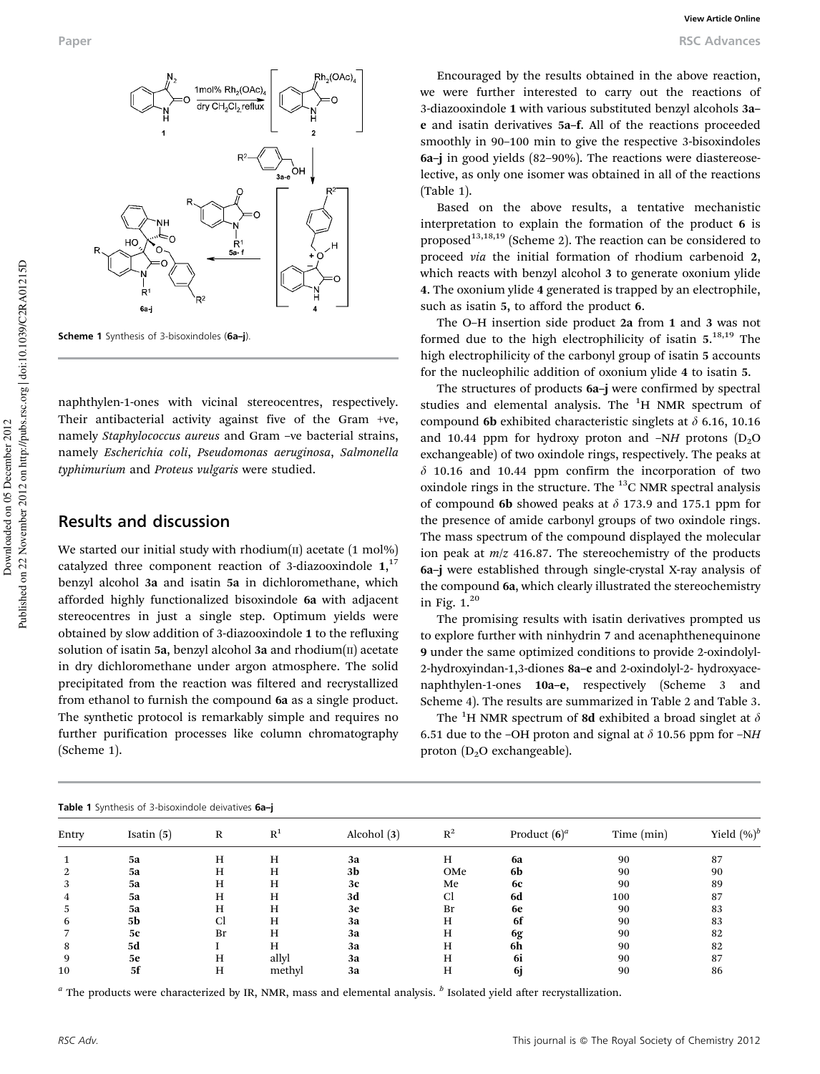

Scheme 1 Synthesis of 3-bisoxindoles (6a-j)

naphthylen-1-ones with vicinal stereocentres, respectively. Their antibacterial activity against five of the Gram +ve, namely *Staphylococcus aureus* and Gram –ve bacterial strains, namely *Escherichia coli*, *Pseudomonas aeruginosa*, *Salmonella typhimurium* and *Proteus vulgaris* were studied.

## Results and discussion

We started our initial study with rhodium $(II)$  acetate  $(1 \text{ mol\%})$ catalyzed three component reaction of 3-diazooxindole  $1,17$ benzyl alcohol 3a and isatin 5a in dichloromethane, which afforded highly functionalized bisoxindole 6a with adjacent stereocentres in just a single step. Optimum yields were obtained by slow addition of 3-diazooxindole 1 to the refluxing solution of isatin 5a, benzyl alcohol 3a and rhodium $(\text{II})$  acetate in dry dichloromethane under argon atmosphere. The solid precipitated from the reaction was filtered and recrystallized from ethanol to furnish the compound 6a as a single product. The synthetic protocol is remarkably simple and requires no further purification processes like column chromatography (Scheme 1).

Encouraged by the results obtained in the above reaction, we were further interested to carry out the reactions of 3-diazooxindole 1 with various substituted benzyl alcohols 3a– e and isatin derivatives 5a–f. All of the reactions proceeded smoothly in 90–100 min to give the respective 3-bisoxindoles 6a–j in good yields (82–90%). The reactions were diastereoselective, as only one isomer was obtained in all of the reactions (Table 1).

Based on the above results, a tentative mechanistic interpretation to explain the formation of the product 6 is proposed<sup>13,18,19</sup> (Scheme 2). The reaction can be considered to proceed *via* the initial formation of rhodium carbenoid 2, which reacts with benzyl alcohol 3 to generate oxonium ylide 4. The oxonium ylide 4 generated is trapped by an electrophile, such as isatin 5, to afford the product 6.

The O–H insertion side product 2a from 1 and 3 was not formed due to the high electrophilicity of isatin  $5.^{18,19}$  The high electrophilicity of the carbonyl group of isatin 5 accounts for the nucleophilic addition of oxonium ylide 4 to isatin 5.

The structures of products 6a–j were confirmed by spectral studies and elemental analysis. The  ${}^{1}$ H NMR spectrum of compound 6b exhibited characteristic singlets at  $\delta$  6.16, 10.16 and 10.44 ppm for hydroxy proton and  $-NH$  protons  $(D_2O)$ exchangeable) of two oxindole rings, respectively. The peaks at  $\delta$  10.16 and 10.44 ppm confirm the incorporation of two oxindole rings in the structure. The  $^{13}$ C NMR spectral analysis of compound 6b showed peaks at  $\delta$  173.9 and 175.1 ppm for the presence of amide carbonyl groups of two oxindole rings. The mass spectrum of the compound displayed the molecular ion peak at *m*/*z* 416.87. The stereochemistry of the products 6a–j were established through single-crystal X-ray analysis of the compound 6a, which clearly illustrated the stereochemistry in Fig.  $1.^{20}$ 

The promising results with isatin derivatives prompted us to explore further with ninhydrin 7 and acenaphthenequinone 9 under the same optimized conditions to provide 2-oxindolyl-2-hydroxyindan-1,3-diones 8a–e and 2-oxindolyl-2- hydroxyacenaphthylen-1-ones 10a–e, respectively (Scheme 3 and Scheme 4). The results are summarized in Table 2 and Table 3.

The <sup>1</sup>H NMR spectrum of 8d exhibited a broad singlet at  $\delta$ 6.51 due to the –OH proton and signal at  $\delta$  10.56 ppm for –NH proton  $(D_2O)$  exchangeable).

| <b>Table 1</b> Synthesis of 3-bisoxindole deivatives 6a-j |              |    |                |               |       |                 |            |                |  |
|-----------------------------------------------------------|--------------|----|----------------|---------------|-------|-----------------|------------|----------------|--|
| Entry                                                     | Isatin $(5)$ | R  | R <sup>T</sup> | Alcohol $(3)$ | $R^2$ | Product $(6)^a$ | Time (min) | Yield $(\%)^b$ |  |
|                                                           | 5a           | H  | H              | 3a            | н     | <b>6a</b>       | 90         | 87             |  |
| 2                                                         | 5a           | H  | H              | 3b            | OMe   | 6b              | 90         | 90             |  |
| 3                                                         | 5a           | Н  | Н              | 3c            | Me    | 6с              | 90         | 89             |  |
| 4                                                         | 5a           | н  | н              | 3d            | Cl    | 6d              | 100        | 87             |  |
| 5.                                                        | 5a           | н  | н              | 3e            | Br    | 6e              | 90         | 83             |  |
| 6                                                         | 5b           | Сl | Н              | 3a            | н     | 6f              | 90         | 83             |  |
|                                                           | 5с           | Br | н              | 3a            | н     | 6g              | 90         | 82             |  |
| 8                                                         | 5d           |    | Н              | 3a            | н     | 6h              | 90         | 82             |  |
| q                                                         | 5е           | H  | allyl          | 3a            | н     | -6i             | 90         | 87             |  |
| 10                                                        | 5f           | Н  | methyl         | 3a            | Н     | 61              | 90         | 86             |  |
|                                                           |              |    |                |               |       |                 |            |                |  |

*a* The products were characterized by IR, NMR, mass and elemental analysis. *<sup>b</sup>* Isolated yield after recrystallization.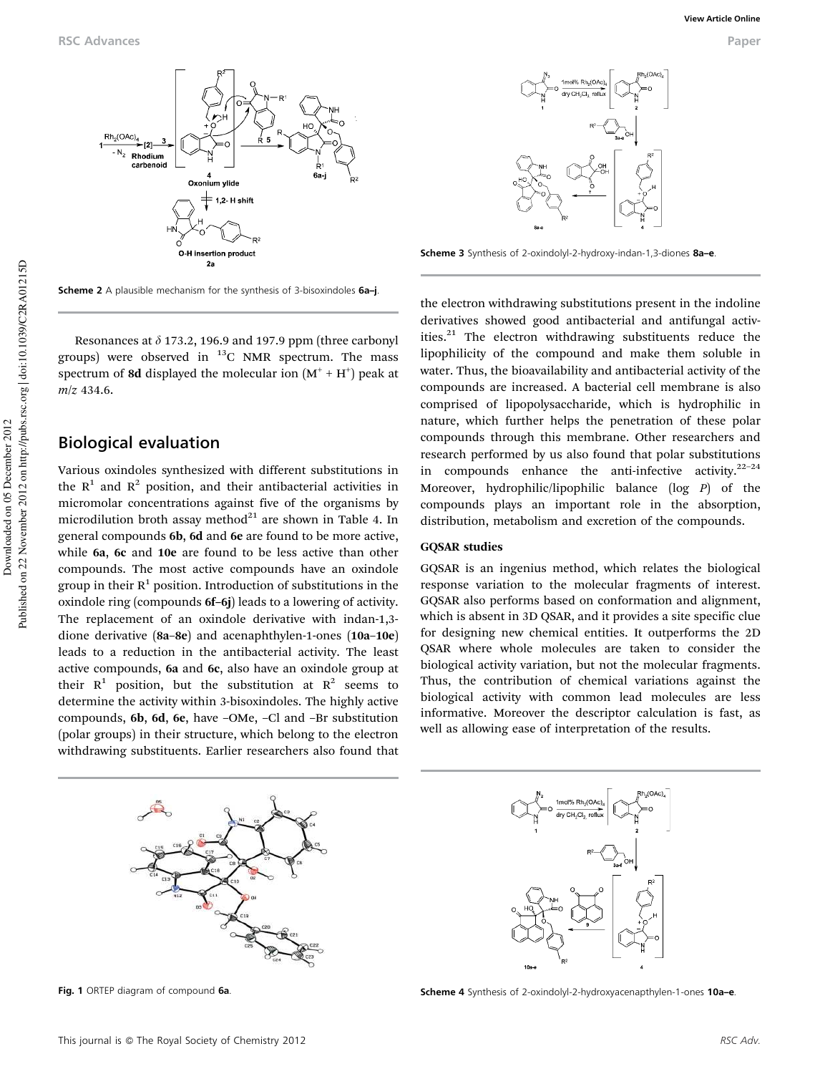

Scheme 2 A plausible mechanism for the synthesis of 3-bisoxindoles 6a-j.

Resonances at  $\delta$  173.2, 196.9 and 197.9 ppm (three carbonyl groups) were observed in  $^{13}$ C NMR spectrum. The mass spectrum of 8d displayed the molecular ion  $(M^+ + H^+)$  peak at *m*/*z* 434.6.

## Biological evaluation

Various oxindoles synthesized with different substitutions in the  $R<sup>1</sup>$  and  $R<sup>2</sup>$  position, and their antibacterial activities in micromolar concentrations against five of the organisms by microdilution broth assay method $^{21}$  are shown in Table 4. In general compounds 6b, 6d and 6e are found to be more active, while 6a, 6c and 10e are found to be less active than other compounds. The most active compounds have an oxindole group in their  $R^1$  position. Introduction of substitutions in the oxindole ring (compounds 6f–6j) leads to a lowering of activity. The replacement of an oxindole derivative with indan-1,3 dione derivative (8a–8e) and acenaphthylen-1-ones (10a–10e) leads to a reduction in the antibacterial activity. The least active compounds, 6a and 6c, also have an oxindole group at their  $R^1$  position, but the substitution at  $R^2$  seems to determine the activity within 3-bisoxindoles. The highly active compounds, 6b, 6d, 6e, have –OMe, –Cl and –Br substitution (polar groups) in their structure, which belong to the electron withdrawing substituents. Earlier researchers also found that



Fig. 1 ORTEP diagram of compound 6a

Scheme 3 Synthesis of 2-oxindolyl-2-hydroxy-indan-1,3-diones 8a-e.

the electron withdrawing substitutions present in the indoline derivatives showed good antibacterial and antifungal activities.<sup>21</sup> The electron withdrawing substituents reduce the lipophilicity of the compound and make them soluble in water. Thus, the bioavailability and antibacterial activity of the compounds are increased. A bacterial cell membrane is also comprised of lipopolysaccharide, which is hydrophilic in nature, which further helps the penetration of these polar compounds through this membrane. Other researchers and research performed by us also found that polar substitutions in compounds enhance the anti-infective activity. $22-24$ Moreover, hydrophilic/lipophilic balance (log *P*) of the compounds plays an important role in the absorption, distribution, metabolism and excretion of the compounds.

#### GQSAR studies

GQSAR is an ingenius method, which relates the biological response variation to the molecular fragments of interest. GQSAR also performs based on conformation and alignment, which is absent in 3D QSAR, and it provides a site specific clue for designing new chemical entities. It outperforms the 2D QSAR where whole molecules are taken to consider the biological activity variation, but not the molecular fragments. Thus, the contribution of chemical variations against the biological activity with common lead molecules are less informative. Moreover the descriptor calculation is fast, as well as allowing ease of interpretation of the results.



Scheme 4 Synthesis of 2-oxindolyl-2-hydroxyacenapthylen-1-ones 10a-e.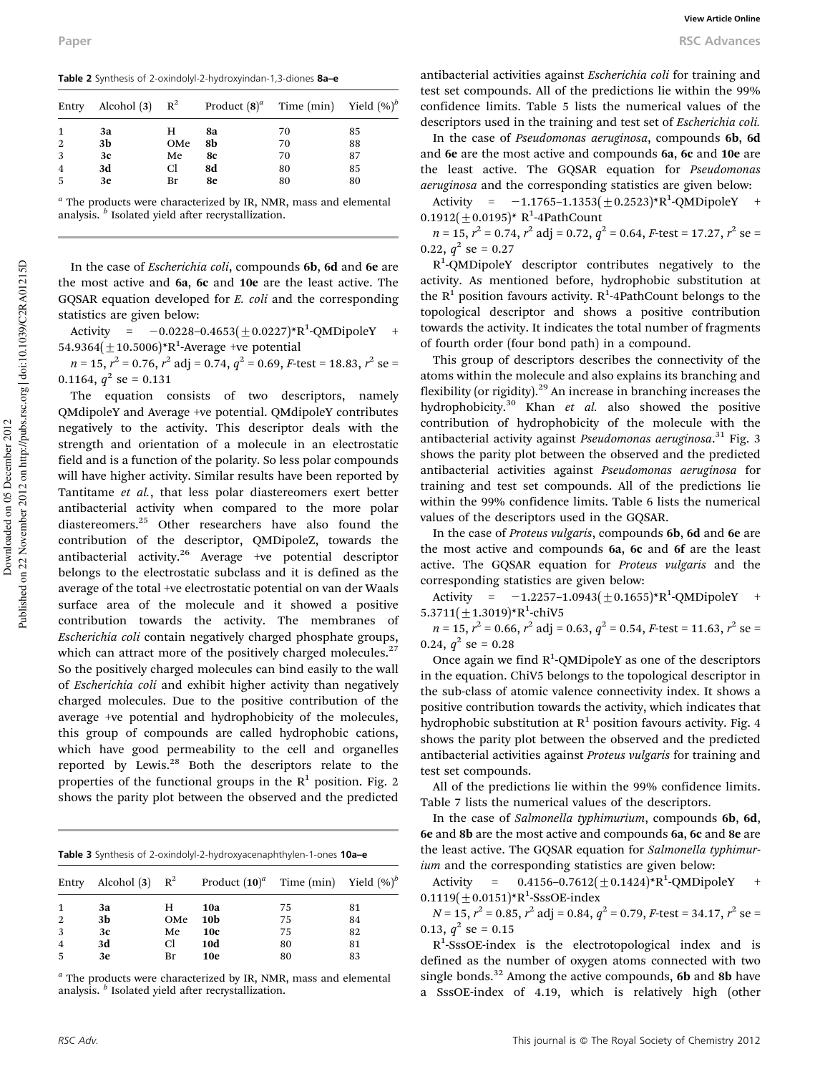Table 2 Synthesis of 2-oxindolyl-2-hydroxyindan-1,3-diones 8a-e

|                | Entry Alcohol (3) $R^2$ |     | Product $(8)^a$ Time (min) Yield $(\%)^b$ |    |    |
|----------------|-------------------------|-----|-------------------------------------------|----|----|
| $\mathbf{1}$   | 3a                      | H.  | 8a                                        | 70 | 85 |
| 2              | 3b                      | OMe | 8b                                        | 70 | 88 |
| 3              | 3c                      | Me  | 8с                                        | 70 | 87 |
| $\overline{4}$ | 3d                      | Cl. | 8d                                        | 80 | 85 |
| 5              | 3e                      | Br  | 8e                                        | 80 | 80 |
|                |                         |     |                                           |    |    |

*a* The products were characterized by IR, NMR, mass and elemental analysis. *<sup>b</sup>* Isolated yield after recrystallization.

In the case of *Escherichia coli*, compounds 6b, 6d and 6e are the most active and 6a, 6c and 10e are the least active. The GQSAR equation developed for *E. coli* and the corresponding statistics are given below:

Activity =  $-0.0228 - 0.4653(\pm 0.0227)*R^1$ -QMDipoleY + 54.9364 $(\pm 10.5006)$ \*R<sup>1</sup>-Average +ve potential

*n* = 15, *r*<sup>2</sup> = 0.76, *r*<sup>2</sup> adj = 0.74, *q*<sup>2</sup> = 0.69, *F*-test = 18.83, *r*<sup>2</sup> se = 0.1164,  $q^2$  se = 0.131

The equation consists of two descriptors, namely QMdipoleY and Average +ve potential. QMdipoleY contributes negatively to the activity. This descriptor deals with the strength and orientation of a molecule in an electrostatic field and is a function of the polarity. So less polar compounds will have higher activity. Similar results have been reported by Tantitame *et al.*, that less polar diastereomers exert better antibacterial activity when compared to the more polar diastereomers.<sup>25</sup> Other researchers have also found the contribution of the descriptor, QMDipoleZ, towards the antibacterial activity.<sup>26</sup> Average +ve potential descriptor belongs to the electrostatic subclass and it is defined as the average of the total +ve electrostatic potential on van der Waals surface area of the molecule and it showed a positive contribution towards the activity. The membranes of *Escherichia coli* contain negatively charged phosphate groups, which can attract more of the positively charged molecules. $27$ So the positively charged molecules can bind easily to the wall of *Escherichia coli* and exhibit higher activity than negatively charged molecules. Due to the positive contribution of the average +ve potential and hydrophobicity of the molecules, this group of compounds are called hydrophobic cations, which have good permeability to the cell and organelles reported by Lewis.<sup>28</sup> Both the descriptors relate to the properties of the functional groups in the  $R<sup>1</sup>$  position. Fig. 2 shows the parity plot between the observed and the predicted

| Table 3 Synthesis of 2-oxindolyl-2-hydroxyacenaphthylen-1-ones 10a-e |  |
|----------------------------------------------------------------------|--|

| Entry          | Alcohol $(3)$ $R^2$ |     | Product $(10)^a$ Time (min) Yield $(\%)^b$ |    |    |
|----------------|---------------------|-----|--------------------------------------------|----|----|
| -1             | 3a                  | н   | 10a                                        | 75 | 81 |
| 2              | 3b                  | OMe | 10 <sub>b</sub>                            | 75 | 84 |
| 3              | 3c                  | Me  | <b>10c</b>                                 | 75 | 82 |
| $\overline{4}$ | 3d                  | Cl. | <b>10d</b>                                 | 80 | 81 |
| -5             | 3e                  | Br  | <b>10e</b>                                 | 80 | 83 |

*a* The products were characterized by IR, NMR, mass and elemental analysis. *<sup>b</sup>* Isolated yield after recrystallization.

antibacterial activities against *Escherichia coli* for training and test set compounds. All of the predictions lie within the 99% confidence limits. Table 5 lists the numerical values of the descriptors used in the training and test set of *Escherichia coli.*

In the case of *Pseudomonas aeruginosa*, compounds 6b, 6d and 6e are the most active and compounds 6a, 6c and 10e are the least active. The GQSAR equation for *Pseudomonas aeruginosa* and the corresponding statistics are given below:

Activity =  $-1.1765 - 1.1353(\pm 0.2523)*R^1$ -QMDipoleY +  $0.1912(\pm 0.0195)^*$  R<sup>1</sup>-4PathCount

*n* = 15, *r*<sup>2</sup> = 0.74, *r*<sup>2</sup> adj = 0.72, *q*<sup>2</sup> = 0.64, *F*-test = 17.27, *r*<sup>2</sup> se = 0.22,  $q^2$  se = 0.27

R<sup>1</sup>-QMDipoleY descriptor contributes negatively to the activity. As mentioned before, hydrophobic substitution at the  $R^1$  position favours activity.  $R^1$ -4PathCount belongs to the topological descriptor and shows a positive contribution towards the activity. It indicates the total number of fragments of fourth order (four bond path) in a compound.

This group of descriptors describes the connectivity of the atoms within the molecule and also explains its branching and flexibility (or rigidity). $29$  An increase in branching increases the hydrophobicity.<sup>30</sup> Khan *et al.* also showed the positive contribution of hydrophobicity of the molecule with the antibacterial activity against *Pseudomonas aeruginosa*. <sup>31</sup> Fig. 3 shows the parity plot between the observed and the predicted antibacterial activities against *Pseudomonas aeruginosa* for training and test set compounds. All of the predictions lie within the 99% confidence limits. Table 6 lists the numerical values of the descriptors used in the GQSAR.

In the case of *Proteus vulgaris*, compounds 6b, 6d and 6e are the most active and compounds 6a, 6c and 6f are the least active. The GQSAR equation for *Proteus vulgaris* and the corresponding statistics are given below:

Activity =  $-1.2257-1.0943(\pm 0.1655)*R^1$ -QMDipoleY +  $5.3711(\pm1.3019)*R^1$ -chiV5

 $n = 15$ ,  $r^2 = 0.66$ ,  $r^2$  adj = 0.63,  $q^2 = 0.54$ , *F*-test = 11.63,  $r^2$  se = 0.24,  $q^2$  se = 0.28

Once again we find  $R^1$ -QMDipoleY as one of the descriptors in the equation. ChiV5 belongs to the topological descriptor in the sub-class of atomic valence connectivity index. It shows a positive contribution towards the activity, which indicates that hydrophobic substitution at  $R^1$  position favours activity. Fig. 4 shows the parity plot between the observed and the predicted antibacterial activities against *Proteus vulgaris* for training and test set compounds.

All of the predictions lie within the 99% confidence limits. Table 7 lists the numerical values of the descriptors.

In the case of *Salmonella typhimurium*, compounds 6b, 6d, 6e and 8b are the most active and compounds 6a, 6c and 8e are the least active. The GQSAR equation for *Salmonella typhimurium* and the corresponding statistics are given below:

Activity =  $0.4156 - 0.7612(\pm 0.1424) * R^1$ -QMDipoleY +  $0.1119(\pm 0.0151) * R^1$ -SssOE-index

*N* = 15, *r*<sup>2</sup> = 0.85, *r*<sup>2</sup> adj = 0.84, *q*<sup>2</sup> = 0.79, *F*-test = 34.17, *r*<sup>2</sup> se = 0.13,  $q^2$  se = 0.15

R<sup>1</sup>-SssOE-index is the electrotopological index and is defined as the number of oxygen atoms connected with two single bonds.<sup>32</sup> Among the active compounds, 6b and 8b have a SssOE-index of 4.19, which is relatively high (other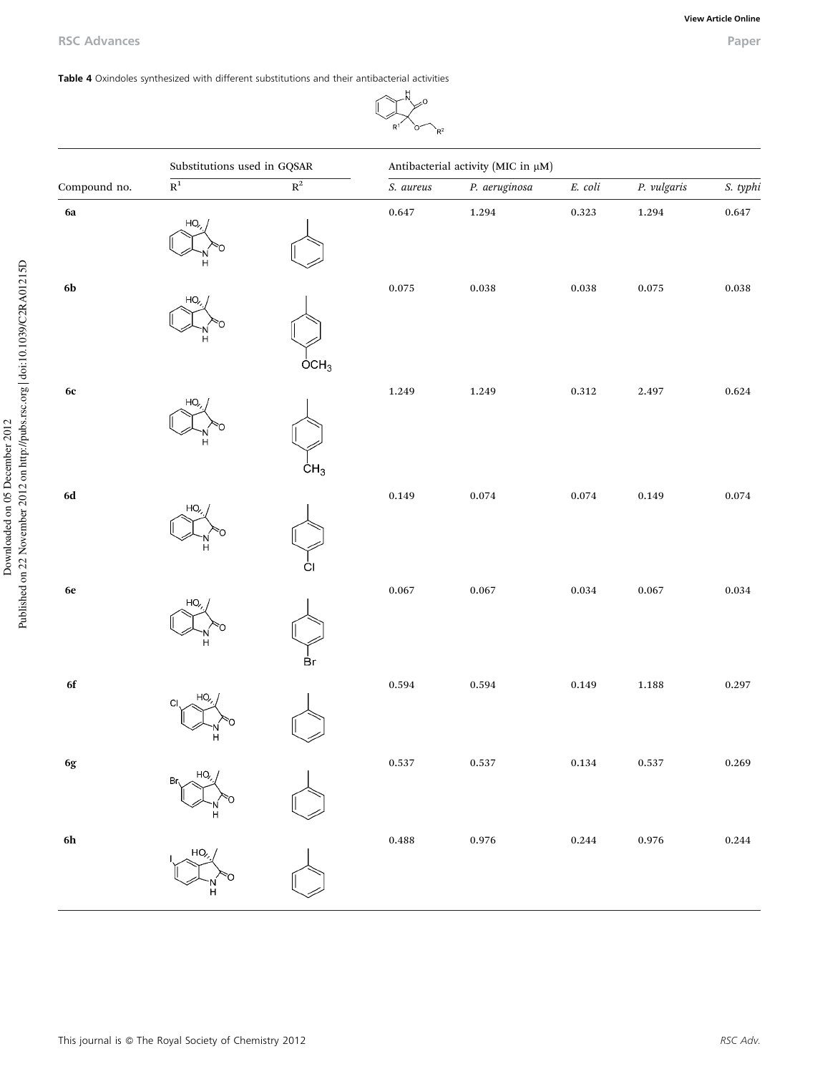### Table 4 Oxindoles synthesized with different substitutions and their antibacterial activities

## $\frac{1}{N}$  $\downarrow$ í

|               | Substitutions used in GQSAR |                    | Antibacterial activity (MIC in µM) |                      |                      |             |             |
|---------------|-----------------------------|--------------------|------------------------------------|----------------------|----------------------|-------------|-------------|
| Compound no.  | $\overline{\mathbf{R}^{1}}$ | $\mathbb{R}^2$     | S. aureus                          | P. aeruginosa        | $\it E.~coli$        | P. vulgaris | S. typhi    |
| 6a            | HO                          |                    | 0.647                              | 1.294                | $0.323\,$            | $1.294\,$   | $0.647\,$   |
| $6\mathbf{b}$ | HO,                         | $\overline{O}CH_3$ | $0.075\,$                          | $\boldsymbol{0.038}$ | $\boldsymbol{0.038}$ | $0.075\,$   | $\bf 0.038$ |
| $6\mathrm{c}$ | HO,<br>н                    |                    | 1.249                              | 1.249                | $0.312\,$            | 2.497       | $\,0.624\,$ |
| $6\mathrm{d}$ | HO,<br>н                    | CH <sub>3</sub>    | 0.149                              | $\,0.074\,$          | $\,0.074\,$          | 0.149       | $\,0.074\,$ |
| $6\mathrm{e}$ | HO,<br>н                    | Br                 | 0.067                              | $\,0.067\,$          | $\,0.034\,$          | $\,0.067\,$ | $\,0.034\,$ |
| $\bf 6f$      | HO,<br>C1                   |                    | 0.594                              | 0.594                | $\,0.149\,$          | $\bf 1.188$ | 0.297       |
| 6g            | Br,                         |                    | 0.537                              | 0.537                | $\bf 0.134$          | $0.537\,$   | 0.269       |
| $6\mathrm{h}$ | HO,<br>н                    |                    | $\,0.488\,$                        | $\,0.976\,$          | $\,0.244\,$          | $0.976\,$   | $\,0.244\,$ |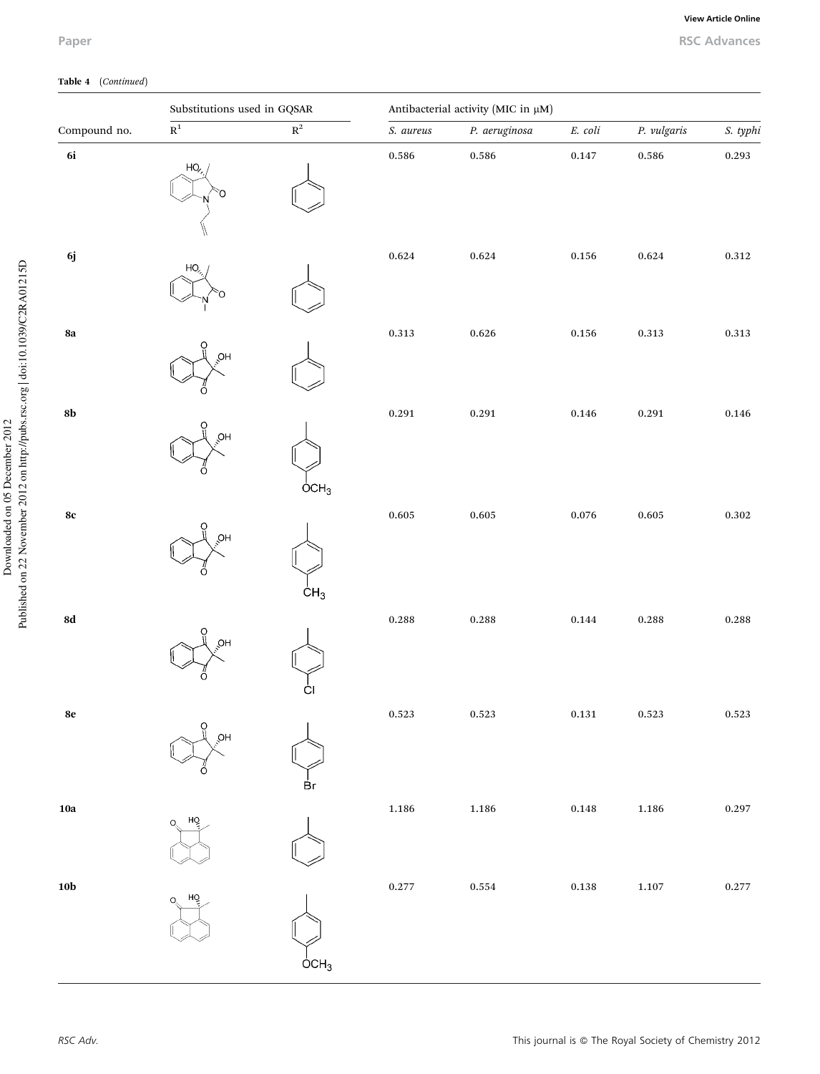Downloaded on 05 December 2012

Published on 22 November 2012 on http://pubs.rsc.org | doi:10.1039/C2RA01215D

Downloaded on 05 December 2012<br>Published on 22 November 2012 on http://pubs.rsc.org | doi:10.1039/C2RA01215D

## Paper RSC Advances

## Table 4 (*Continued*)

|                | Substitutions used in GQSAR |                           | Antibacterial activity (MIC in µM) |               |                |             |             |
|----------------|-----------------------------|---------------------------|------------------------------------|---------------|----------------|-------------|-------------|
| Compound no.   | $\overline{\mathbf{R}^1}$   | $\overline{\mathbf{R}^2}$ | S. aureus                          | P. aeruginosa | $E.$ $\,$ coli | P. vulgaris | S. typhi    |
| 6i             | HO,                         |                           | $\,0.586\,$                        | 0.586         | $0.147\,$      | 0.586       | 0.293       |
| $6j$           | HO                          |                           | $\,0.624\,$                        | $\,0.624\,$   | 0.156          | $\,0.624\,$ | $\bf 0.312$ |
| ${\bf 8a}$     | Ο<br>HQ<br>∩                |                           | $0.313\,$                          | $\,0.626\,$   | $\,0.156\,$    | $\rm 0.313$ | $0.313\,$   |
| $8\mathrm{b}$  | QH                          | $\overline{O}CH_3$        | 0.291                              | 0.291         | $\bf 0.146$    | 0.291       | $\,0.146\,$ |
| $8\mathrm{c}$  | O<br>ЮH                     | CH <sub>3</sub>           | $\,0.605\,$                        | $\,0.605\,$   | $\,0.076\,$    | $\,0.605\,$ | $\bf 0.302$ |
| ${\bf 8d}$     | O<br>HQ,                    | ĊI                        | $\,0.288\,$                        | $\,0.288\,$   | $\,0.144\,$    | $\,0.288\,$ | $\,0.288\,$ |
| 8e             | O<br>ОH                     | Вr                        | 0.523                              | 0.523         | 0.131          | 0.523       | 0.523       |
| ${\bf 10a}$    | HQ<br>Ω                     |                           | $\bf 1.186$                        | $1.186\,$     | $\,0.148\,$    | 1.186       | 0.297       |
| $10\mathrm{b}$ | HÒ                          | OCH <sub>3</sub>          | $0.277\,$                          | $\,0.554\,$   | $\bf 0.138$    | $1.107\,$   | 0.277       |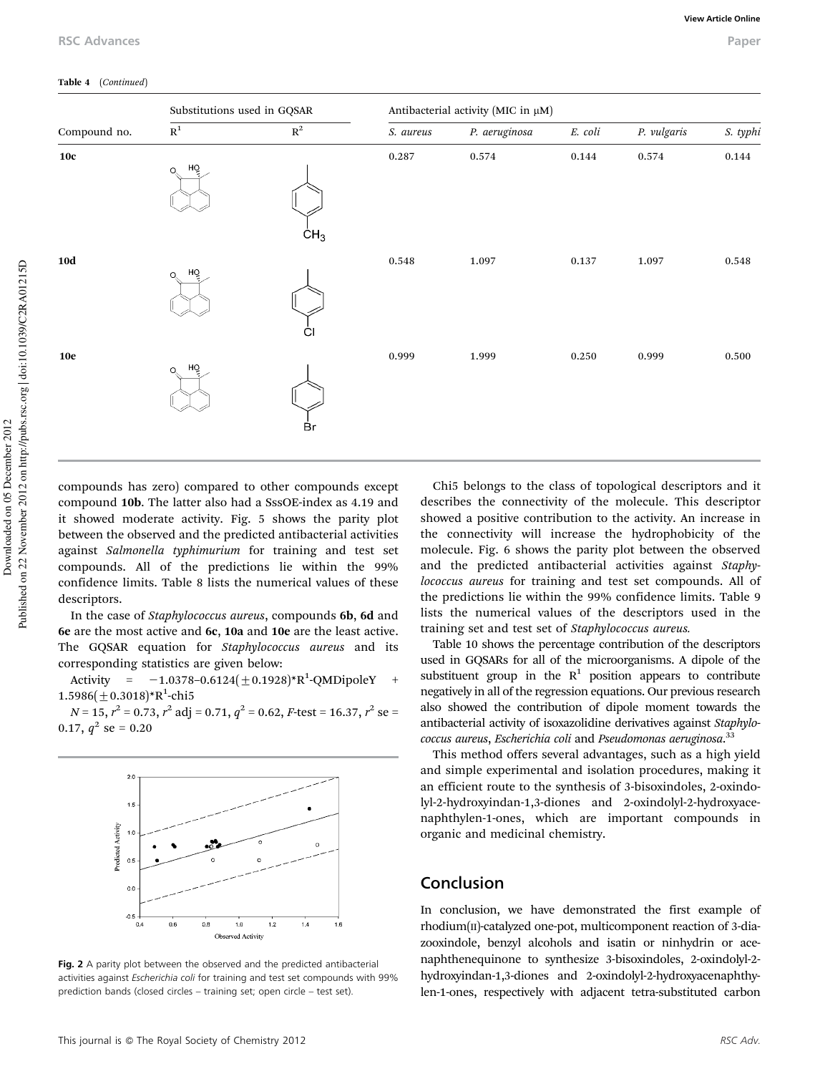#### Table 4 (*Continued*)

| Substitutions used in GQSAR |                                 | Antibacterial activity (MIC in µM) |             |               |             |             |             |
|-----------------------------|---------------------------------|------------------------------------|-------------|---------------|-------------|-------------|-------------|
| Compound no.                | $\overline{\mathbf{R}^1}$       | $\overline{\mathrm{R}^2}$          | S. aureus   | P. aeruginosa | E. coli     | P. vulgaris | S. typhi    |
| 10c                         | HQ<br>$Q_{\rm c}$               | CH <sub>3</sub>                    | $\,0.287\,$ | 0.574         | $\,0.144\,$ | 0.574       | 0.144       |
| <b>10d</b>                  | HQ<br>$\mathsf{O}_{\mathbb{C}}$ | Ċl                                 | $\,0.548\,$ | 1.097         | $0.137\,$   | 1.097       | $\,0.548\,$ |
| <b>10e</b>                  | HQ<br>$Q_{\rm c}$               | Br                                 | 0.999       | 1.999         | $0.250\,$   | 0.999       | $0.500\,$   |

compounds has zero) compared to other compounds except compound 10b. The latter also had a SssOE-index as 4.19 and it showed moderate activity. Fig. 5 shows the parity plot between the observed and the predicted antibacterial activities against *Salmonella typhimurium* for training and test set compounds. All of the predictions lie within the 99% confidence limits. Table 8 lists the numerical values of these descriptors.

In the case of *Staphylococcus aureus*, compounds 6b, 6d and 6e are the most active and 6c, 10a and 10e are the least active. The GQSAR equation for *Staphylococcus aureus* and its corresponding statistics are given below:

Activity =  $-1.0378 - 0.6124(\pm 0.1928)*R^1$ -QMDipoleY +  $1.5986(\pm 0.3018)*R^1$ -chi5

 $N = 15$ ,  $r^2 = 0.73$ ,  $r^2$  adj = 0.71,  $q^2 = 0.62$ , *F*-test = 16.37,  $r^2$  se = 0.17,  $q^2$  se = 0.20



Fig. 2 A parity plot between the observed and the predicted antibacterial activities against Escherichia coli for training and test set compounds with 99% prediction bands (closed circles – training set; open circle – test set).

Chi5 belongs to the class of topological descriptors and it describes the connectivity of the molecule. This descriptor showed a positive contribution to the activity. An increase in the connectivity will increase the hydrophobicity of the molecule. Fig. 6 shows the parity plot between the observed and the predicted antibacterial activities against *Staphylococcus aureus* for training and test set compounds. All of the predictions lie within the 99% confidence limits. Table 9 lists the numerical values of the descriptors used in the training set and test set of *Staphylococcus aureus.*

Table 10 shows the percentage contribution of the descriptors used in GQSARs for all of the microorganisms. A dipole of the substituent group in the  $R<sup>1</sup>$  position appears to contribute negatively in all of the regression equations. Our previous research also showed the contribution of dipole moment towards the antibacterial activity of isoxazolidine derivatives against *Staphylococcus aureus*, *Escherichia coli* and *Pseudomonas aeruginosa*. 33

This method offers several advantages, such as a high yield and simple experimental and isolation procedures, making it an efficient route to the synthesis of 3-bisoxindoles, 2-oxindolyl-2-hydroxyindan-1,3-diones and 2-oxindolyl-2-hydroxyacenaphthylen-1-ones, which are important compounds in organic and medicinal chemistry.

## Conclusion

In conclusion, we have demonstrated the first example of rhodium(II)-catalyzed one-pot, multicomponent reaction of 3-diazooxindole, benzyl alcohols and isatin or ninhydrin or acenaphthenequinone to synthesize 3-bisoxindoles, 2-oxindolyl-2 hydroxyindan-1,3-diones and 2-oxindolyl-2-hydroxyacenaphthylen-1-ones, respectively with adjacent tetra-substituted carbon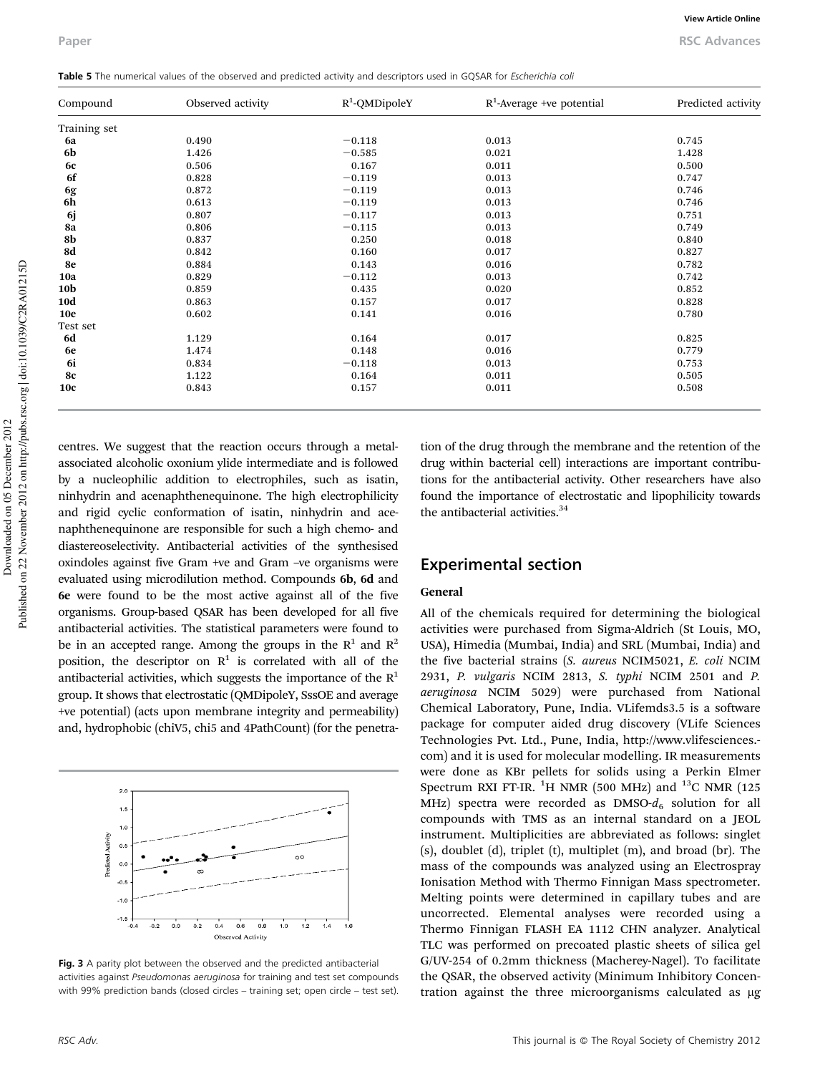| Compound        | Observed activity | $R^1$ -QMDipoleY | $R^1$ -Average +ve potential | Predicted activity |
|-----------------|-------------------|------------------|------------------------------|--------------------|
| Training set    |                   |                  |                              |                    |
| 6a              | 0.490             | $-0.118$         | 0.013                        | 0.745              |
| 6b              | 1.426             | $-0.585$         | 0.021                        | 1.428              |
| <b>6c</b>       | 0.506             | 0.167            | 0.011                        | 0.500              |
| 6f              | 0.828             | $-0.119$         | 0.013                        | 0.747              |
| 6g              | 0.872             | $-0.119$         | 0.013                        | 0.746              |
| 6h              | 0.613             | $-0.119$         | 0.013                        | 0.746              |
| 6j              | 0.807             | $-0.117$         | 0.013                        | 0.751              |
| 8a              | 0.806             | $-0.115$         | 0.013                        | 0.749              |
| 8b              | 0.837             | 0.250            | 0.018                        | 0.840              |
| 8d              | 0.842             | 0.160            | 0.017                        | 0.827              |
| 8e              | 0.884             | 0.143            | 0.016                        | 0.782              |
| 10a             | 0.829             | $-0.112$         | 0.013                        | 0.742              |
| 10 <sub>b</sub> | 0.859             | 0.435            | 0.020                        | 0.852              |
| <b>10d</b>      | 0.863             | 0.157            | 0.017                        | 0.828              |
| <b>10e</b>      | 0.602             | 0.141            | 0.016                        | 0.780              |
| Test set        |                   |                  |                              |                    |
| 6d              | 1.129             | 0.164            | 0.017                        | 0.825              |
| 6e              | 1.474             | 0.148            | 0.016                        | 0.779              |
| 6i              | 0.834             | $-0.118$         | 0.013                        | 0.753              |
| <b>8c</b>       | 1.122             | 0.164            | 0.011                        | 0.505              |
| <b>10c</b>      | 0.843             | 0.157            | 0.011                        | 0.508              |

centres. We suggest that the reaction occurs through a metalassociated alcoholic oxonium ylide intermediate and is followed by a nucleophilic addition to electrophiles, such as isatin, ninhydrin and acenaphthenequinone. The high electrophilicity and rigid cyclic conformation of isatin, ninhydrin and acenaphthenequinone are responsible for such a high chemo- and diastereoselectivity. Antibacterial activities of the synthesised oxindoles against five Gram +ve and Gram –ve organisms were evaluated using microdilution method. Compounds 6b, 6d and 6e were found to be the most active against all of the five organisms. Group-based QSAR has been developed for all five antibacterial activities. The statistical parameters were found to be in an accepted range. Among the groups in the  $R^1$  and  $R^2$ position, the descriptor on  $R^1$  is correlated with all of the antibacterial activities, which suggests the importance of the  $R<sup>1</sup>$ group. It shows that electrostatic (QMDipoleY, SssOE and average +ve potential) (acts upon membrane integrity and permeability) and, hydrophobic (chiV5, chi5 and 4PathCount) (for the penetra-



Fig. 3 A parity plot between the observed and the predicted antibacterial activities against Pseudomonas aeruginosa for training and test set compounds with 99% prediction bands (closed circles – training set; open circle – test set).

tion of the drug through the membrane and the retention of the drug within bacterial cell) interactions are important contributions for the antibacterial activity. Other researchers have also found the importance of electrostatic and lipophilicity towards the antibacterial activities.<sup>34</sup>

## Experimental section

#### General

All of the chemicals required for determining the biological activities were purchased from Sigma-Aldrich (St Louis, MO, USA), Himedia (Mumbai, India) and SRL (Mumbai, India) and the five bacterial strains (*S. aureus* NCIM5021, *E. coli* NCIM 2931, *P. vulgaris* NCIM 2813, *S. typhi* NCIM 2501 and *P. aeruginosa* NCIM 5029) were purchased from National Chemical Laboratory, Pune, India. VLifemds3.5 is a software package for computer aided drug discovery (VLife Sciences Technologies Pvt. Ltd., Pune, India, http://www.vlifesciences. com) and it is used for molecular modelling. IR measurements were done as KBr pellets for solids using a Perkin Elmer Spectrum RXI FT-IR.  $^{1}$ H NMR (500 MHz) and  $^{13}$ C NMR (125 MHz) spectra were recorded as  $DMSO-d_6$  solution for all compounds with TMS as an internal standard on a JEOL instrument. Multiplicities are abbreviated as follows: singlet (s), doublet (d), triplet (t), multiplet (m), and broad (br). The mass of the compounds was analyzed using an Electrospray Ionisation Method with Thermo Finnigan Mass spectrometer. Melting points were determined in capillary tubes and are uncorrected. Elemental analyses were recorded using a Thermo Finnigan FLASH EA 1112 CHN analyzer. Analytical TLC was performed on precoated plastic sheets of silica gel G/UV-254 of 0.2mm thickness (Macherey-Nagel). To facilitate the QSAR, the observed activity (Minimum Inhibitory Concentration against the three microorganisms calculated as µg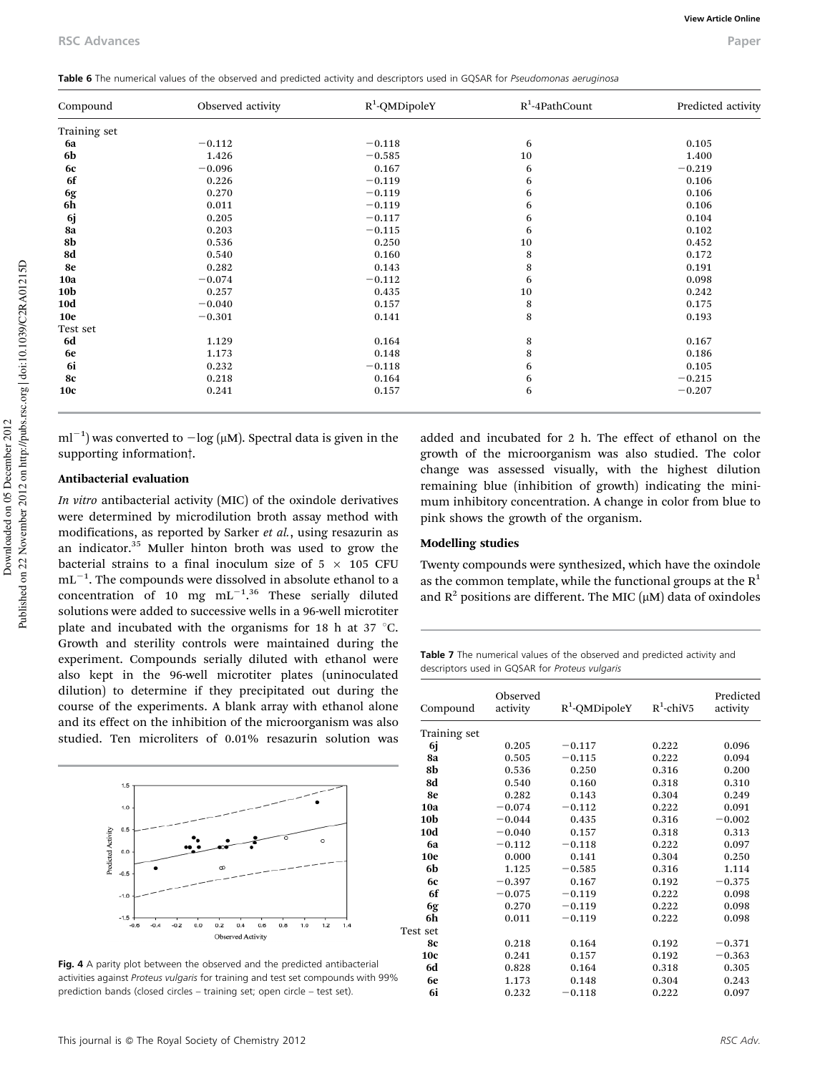| Table 6 The numerical values of the observed and predicted activity and descriptors used in GQSAR for Pseudomonas aeruginosa |  |
|------------------------------------------------------------------------------------------------------------------------------|--|
|------------------------------------------------------------------------------------------------------------------------------|--|

| Compound        | Observed activity | $R^1$ -QMDipoleY | $R^1$ -4PathCount | Predicted activity |
|-----------------|-------------------|------------------|-------------------|--------------------|
| Training set    |                   |                  |                   |                    |
| 6a              | $-0.112$          | $-0.118$         | 6                 | 0.105              |
| 6b              | 1.426             | $-0.585$         | 10                | 1.400              |
| <b>6c</b>       | $-0.096$          | 0.167            | 6                 | $-0.219$           |
| 6f              | 0.226             | $-0.119$         | 6                 | 0.106              |
| 6g              | 0.270             | $-0.119$         | 6                 | 0.106              |
| 6h              | 0.011             | $-0.119$         | 6                 | 0.106              |
| 6j              | 0.205             | $-0.117$         | 6                 | 0.104              |
| 8a              | 0.203             | $-0.115$         | 6                 | 0.102              |
| 8b              | 0.536             | 0.250            | 10                | 0.452              |
| 8d              | 0.540             | 0.160            | 8                 | 0.172              |
| 8e              | 0.282             | 0.143            | $\,$ 8 $\,$       | 0.191              |
| 10a             | $-0.074$          | $-0.112$         | 6                 | 0.098              |
| 10 <sub>b</sub> | 0.257             | 0.435            | 10                | 0.242              |
| <b>10d</b>      | $-0.040$          | 0.157            | 8                 | 0.175              |
| <b>10e</b>      | $-0.301$          | 0.141            | 8                 | 0.193              |
| Test set        |                   |                  |                   |                    |
| 6d              | 1.129             | 0.164            | 8                 | 0.167              |
| 6e              | 1.173             | 0.148            | $\,$ 8 $\,$       | 0.186              |
| 6i              | 0.232             | $-0.118$         | 6                 | 0.105              |
| <b>8c</b>       | 0.218             | 0.164            | 6                 | $-0.215$           |
| <b>10c</b>      | 0.241             | 0.157            | 6                 | $-0.207$           |

 $ml^{-1}$ ) was converted to  $-\log(\mu M)$ . Spectral data is given in the supporting information<sup>†</sup>.

#### Antibacterial evaluation

*In vitro* antibacterial activity (MIC) of the oxindole derivatives were determined by microdilution broth assay method with modifications, as reported by Sarker *et al.*, using resazurin as an indicator.<sup>35</sup> Muller hinton broth was used to grow the bacterial strains to a final inoculum size of  $5 \times 105$  CFU  $\text{mL}^{-1}$ . The compounds were dissolved in absolute ethanol to a concentration of 10 mg  $mL^{-1.36}$  These serially diluted solutions were added to successive wells in a 96-well microtiter plate and incubated with the organisms for 18 h at 37  $^{\circ}$ C. Growth and sterility controls were maintained during the experiment. Compounds serially diluted with ethanol were also kept in the 96-well microtiter plates (uninoculated dilution) to determine if they precipitated out during the course of the experiments. A blank array with ethanol alone and its effect on the inhibition of the microorganism was also studied. Ten microliters of 0.01% resazurin solution was



Fig. 4 A parity plot between the observed and the predicted antibacterial activities against Proteus vulgaris for training and test set compounds with 99% prediction bands (closed circles – training set; open circle – test set).

added and incubated for 2 h. The effect of ethanol on the growth of the microorganism was also studied. The color change was assessed visually, with the highest dilution remaining blue (inhibition of growth) indicating the minimum inhibitory concentration. A change in color from blue to pink shows the growth of the organism.

#### Modelling studies

Twenty compounds were synthesized, which have the oxindole as the common template, while the functional groups at the  $R<sup>1</sup>$ and  $R^2$  positions are different. The MIC ( $\mu$ M) data of oxindoles

Table 7 The numerical values of the observed and predicted activity and descriptors used in GQSAR for Proteus vulgaris

| Compound        | Observed<br>activity | $R^1$ -QMDipoleY | $R^1$ -chiV5 | Predicted<br>activity |
|-----------------|----------------------|------------------|--------------|-----------------------|
| Training set    |                      |                  |              |                       |
| 6j              | 0.205                | $-0.117$         | 0.222        | 0.096                 |
| 8а              | 0.505                | $-0.115$         | 0.222        | 0.094                 |
| 8b              | 0.536                | 0.250            | 0.316        | 0.200                 |
| 8d              | 0.540                | 0.160            | 0.318        | 0.310                 |
| 8e              | 0.282                | 0.143            | 0.304        | 0.249                 |
| 10a             | $-0.074$             | $-0.112$         | 0.222        | 0.091                 |
| 10 <b>b</b>     | $-0.044$             | 0.435            | 0.316        | $-0.002$              |
| 10d             | $-0.040$             | 0.157            | 0.318        | 0.313                 |
| <b>6a</b>       | $-0.112$             | $-0.118$         | 0.222        | 0.097                 |
| 10 <sub>e</sub> | 0.000                | 0.141            | 0.304        | 0.250                 |
| 6b              | 1.125                | $-0.585$         | 0.316        | 1.114                 |
| 6с              | $-0.397$             | 0.167            | 0.192        | $-0.375$              |
| 6f              | $-0.075$             | $-0.119$         | 0.222        | 0.098                 |
| 6g              | 0.270                | $-0.119$         | 0.222        | 0.098                 |
| 6h              | 0.011                | $-0.119$         | 0.222        | 0.098                 |
| Test set        |                      |                  |              |                       |
| <b>8c</b>       | 0.218                | 0.164            | 0.192        | $-0.371$              |
| 10 <sub>c</sub> | 0.241                | 0.157            | 0.192        | $-0.363$              |
| 6d              | 0.828                | 0.164            | 0.318        | 0.305                 |
| 6e              | 1.173                | 0.148            | 0.304        | 0.243                 |
| 6i              | 0.232                | $-0.118$         | 0.222        | 0.097                 |
|                 |                      |                  |              |                       |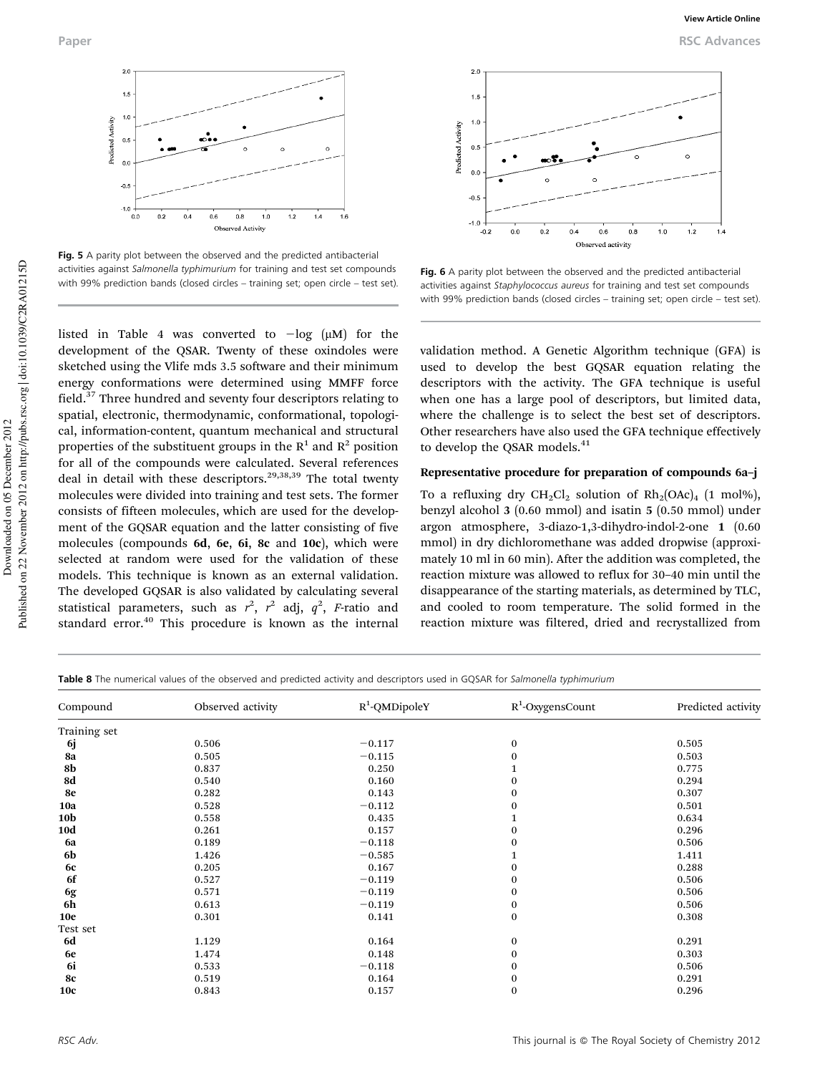

Fig. 5 A parity plot between the observed and the predicted antibacterial activities against Salmonella typhimurium for training and test set compounds with 99% prediction bands (closed circles – training set; open circle – test set).

listed in Table 4 was converted to  $-\log (\mu M)$  for the development of the QSAR. Twenty of these oxindoles were sketched using the Vlife mds 3.5 software and their minimum energy conformations were determined using MMFF force field.<sup>37</sup> Three hundred and seventy four descriptors relating to spatial, electronic, thermodynamic, conformational, topological, information-content, quantum mechanical and structural properties of the substituent groups in the  $R^1$  and  $R^2$  position for all of the compounds were calculated. Several references deal in detail with these descriptors.<sup>29,38,39</sup> The total twenty molecules were divided into training and test sets. The former consists of fifteen molecules, which are used for the development of the GQSAR equation and the latter consisting of five molecules (compounds 6d, 6e, 6i, 8c and 10c), which were selected at random were used for the validation of these models. This technique is known as an external validation. The developed GQSAR is also validated by calculating several statistical parameters, such as  $r^2$ ,  $r^2$  adj,  $q^2$ , *F*-ratio and standard error.<sup>40</sup> This procedure is known as the internal



Fig. 6 A parity plot between the observed and the predicted antibacterial activities against Staphylococcus aureus for training and test set compounds with 99% prediction bands (closed circles – training set; open circle – test set).

validation method. A Genetic Algorithm technique (GFA) is used to develop the best GQSAR equation relating the descriptors with the activity. The GFA technique is useful when one has a large pool of descriptors, but limited data, where the challenge is to select the best set of descriptors. Other researchers have also used the GFA technique effectively to develop the QSAR models.<sup>41</sup>

#### Representative procedure for preparation of compounds 6a–j

To a refluxing dry CH<sub>2</sub>Cl<sub>2</sub> solution of  $Rh_2(OAc)_4$  (1 mol%), benzyl alcohol 3 (0.60 mmol) and isatin 5 (0.50 mmol) under argon atmosphere, 3-diazo-1,3-dihydro-indol-2-one 1 (0.60 mmol) in dry dichloromethane was added dropwise (approximately 10 ml in 60 min). After the addition was completed, the reaction mixture was allowed to reflux for 30–40 min until the disappearance of the starting materials, as determined by TLC, and cooled to room temperature. The solid formed in the reaction mixture was filtered, dried and recrystallized from

Table 8 The numerical values of the observed and predicted activity and descriptors used in GQSAR for Salmonella typhimurium

| Compound        | Observed activity | $R^1$ -QMDipoleY | $R^1$ -OxygensCount | Predicted activity |  |
|-----------------|-------------------|------------------|---------------------|--------------------|--|
| Training set    |                   |                  |                     |                    |  |
| 6j              | 0.506             | $-0.117$         | $\bf{0}$            | 0.505              |  |
| 8a              | 0.505             | $-0.115$         | $\bf{0}$            | 0.503              |  |
| 8b              | 0.837             | 0.250            |                     | 0.775              |  |
| 8d              | 0.540             | 0.160            | $\bf{0}$            | 0.294              |  |
| 8e              | 0.282             | 0.143            | $\bf{0}$            | 0.307              |  |
| 10a             | 0.528             | $-0.112$         | $\mathbf{0}$        | 0.501              |  |
| 10b             | 0.558             | 0.435            | 1                   | 0.634              |  |
| 10d             | 0.261             | 0.157            | $\bf{0}$            | 0.296              |  |
| <b>6a</b>       | 0.189             | $-0.118$         | $\bf{0}$            | 0.506              |  |
| 6b              | 1.426             | $-0.585$         |                     | 1.411              |  |
| <b>6c</b>       | 0.205             | 0.167            | $\bf{0}$            | 0.288              |  |
| 6f              | 0.527             | $-0.119$         | $\mathbf{0}$        | 0.506              |  |
| 6g              | 0.571             | $-0.119$         | $\bf{0}$            | 0.506              |  |
| 6h              | 0.613             | $-0.119$         | $\bf{0}$            | 0.506              |  |
| 10 <sub>e</sub> | 0.301             | 0.141            | $\bf{0}$            | 0.308              |  |
| Test set        |                   |                  |                     |                    |  |
| 6d              | 1.129             | 0.164            | $\bf{0}$            | 0.291              |  |
| 6e              | 1.474             | 0.148            | $\bf{0}$            | 0.303              |  |
| 6i              | 0.533             | $-0.118$         | $\bf{0}$            | 0.506              |  |
| 8c              | 0.519             | 0.164            | $\bf{0}$            | 0.291              |  |
| <b>10c</b>      | 0.843             | 0.157            | $\bf{0}$            | 0.296              |  |
|                 |                   |                  |                     |                    |  |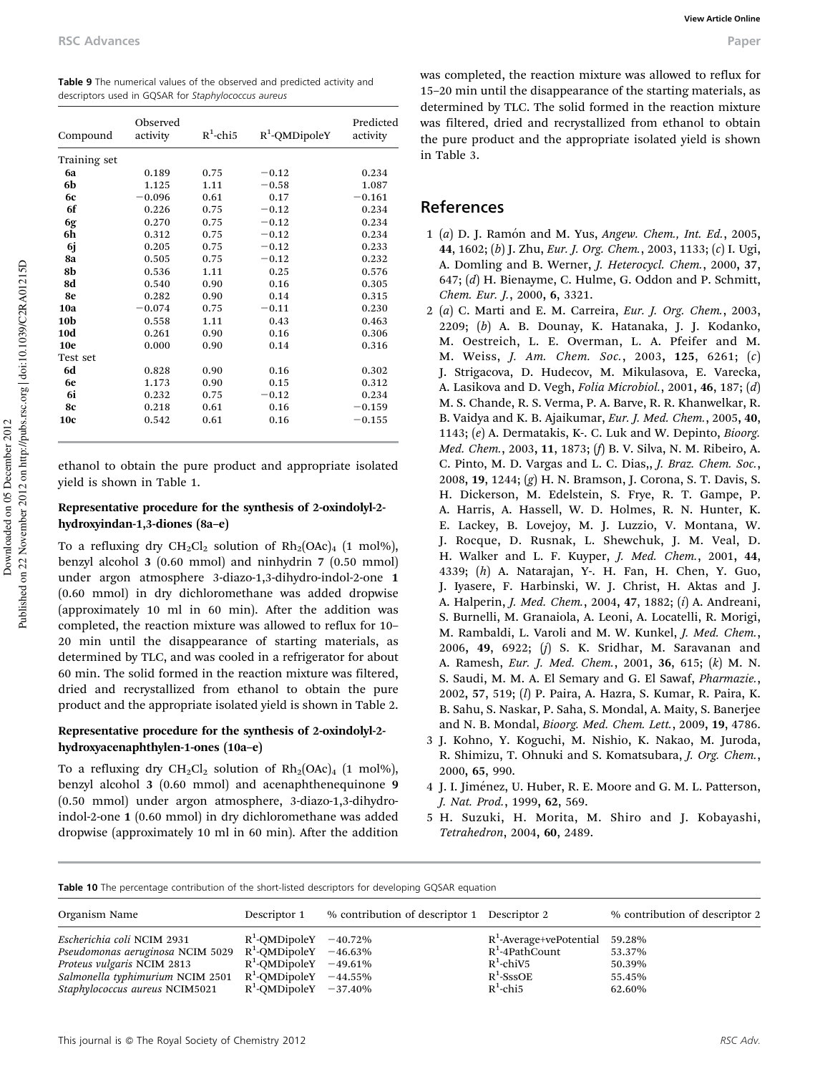| Compound        | Observed<br>activity | $R^1$ -chi5 | $R^1$ -QMDipoleY | Predicted<br>activity |
|-----------------|----------------------|-------------|------------------|-----------------------|
| Training set    |                      |             |                  |                       |
| 6a              | 0.189                | 0.75        | $-0.12$          | 0.234                 |
| 6b              | 1.125                | 1.11        | $-0.58$          | 1.087                 |
| <b>6c</b>       | $-0.096$             | 0.61        | 0.17             | $-0.161$              |
| 6f              | 0.226                | 0.75        | $-0.12$          | 0.234                 |
| 6g              | 0.270                | 0.75        | $-0.12$          | 0.234                 |
| 6h              | 0.312                | 0.75        | $-0.12$          | 0.234                 |
| 6j              | 0.205                | 0.75        | $-0.12$          | 0.233                 |
| 8a              | 0.505                | 0.75        | $-0.12$          | 0.232                 |
| 8b              | 0.536                | 1.11        | 0.25             | 0.576                 |
| 8d              | 0.540                | 0.90        | 0.16             | 0.305                 |
| 8e              | 0.282                | 0.90        | 0.14             | 0.315                 |
| 10a             | $-0.074$             | 0.75        | $-0.11$          | 0.230                 |
| 10b             | 0.558                | 1.11        | 0.43             | 0.463                 |
| 10d             | 0.261                | 0.90        | 0.16             | 0.306                 |
| <b>10e</b>      | 0.000                | 0.90        | 0.14             | 0.316                 |
| Test set        |                      |             |                  |                       |
| 6d              | 0.828                | 0.90        | 0.16             | 0.302                 |
| 6e              | 1.173                | 0.90        | 0.15             | 0.312                 |
| 6i              | 0.232                | 0.75        | $-0.12$          | 0.234                 |
| 8с              | 0.218                | 0.61        | 0.16             | $-0.159$              |
| 10 <sub>c</sub> | 0.542                | 0.61        | 0.16             | $-0.155$              |

ethanol to obtain the pure product and appropriate isolated yield is shown in Table 1.

## Representative procedure for the synthesis of 2-oxindolyl-2 hydroxyindan-1,3-diones (8a–e)

To a refluxing dry  $CH_2Cl_2$  solution of  $Rh_2(OAC)_4$  (1 mol%), benzyl alcohol 3 (0.60 mmol) and ninhydrin 7 (0.50 mmol) under argon atmosphere 3-diazo-1,3-dihydro-indol-2-one 1 (0.60 mmol) in dry dichloromethane was added dropwise (approximately 10 ml in 60 min). After the addition was completed, the reaction mixture was allowed to reflux for 10– 20 min until the disappearance of starting materials, as determined by TLC, and was cooled in a refrigerator for about 60 min. The solid formed in the reaction mixture was filtered, dried and recrystallized from ethanol to obtain the pure product and the appropriate isolated yield is shown in Table 2.

### Representative procedure for the synthesis of 2-oxindolyl-2 hydroxyacenaphthylen-1-ones (10a–e)

To a refluxing dry  $CH_2Cl_2$  solution of  $Rh_2(OAC)_4$  (1 mol%), benzyl alcohol 3 (0.60 mmol) and acenaphthenequinone 9 (0.50 mmol) under argon atmosphere, 3-diazo-1,3-dihydroindol-2-one 1 (0.60 mmol) in dry dichloromethane was added dropwise (approximately 10 ml in 60 min). After the addition was completed, the reaction mixture was allowed to reflux for 15–20 min until the disappearance of the starting materials, as determined by TLC. The solid formed in the reaction mixture was filtered, dried and recrystallized from ethanol to obtain the pure product and the appropriate isolated yield is shown in Table 3.

## References

- 1 (*a*) D. J. Ramo´n and M. Yus, *Angew. Chem., Int. Ed.*, 2005, 44, 1602; (*b*) J. Zhu, *Eur. J. Org. Chem.*, 2003, 1133; (*c*) I. Ugi, A. Domling and B. Werner, *J. Heterocycl. Chem.*, 2000, 37, 647; (*d*) H. Bienayme, C. Hulme, G. Oddon and P. Schmitt, *Chem. Eur. J.*, 2000, 6, 3321.
- 2 (*a*) C. Marti and E. M. Carreira, *Eur. J. Org. Chem.*, 2003, 2209; (*b*) A. B. Dounay, K. Hatanaka, J. J. Kodanko, M. Oestreich, L. E. Overman, L. A. Pfeifer and M. M. Weiss, *J. Am. Chem. Soc.*, 2003, 125, 6261; (*c*) J. Strigacova, D. Hudecov, M. Mikulasova, E. Varecka, A. Lasikova and D. Vegh, *Folia Microbiol.*, 2001, 46, 187; (*d*) M. S. Chande, R. S. Verma, P. A. Barve, R. R. Khanwelkar, R. B. Vaidya and K. B. Ajaikumar, *Eur. J. Med. Chem.*, 2005, 40, 1143; (*e*) A. Dermatakis, K-. C. Luk and W. Depinto, *Bioorg. Med. Chem.*, 2003, 11, 1873; (*f*) B. V. Silva, N. M. Ribeiro, A. C. Pinto, M. D. Vargas and L. C. Dias,, *J. Braz. Chem. Soc.*, 2008, 19, 1244; (*g*) H. N. Bramson, J. Corona, S. T. Davis, S. H. Dickerson, M. Edelstein, S. Frye, R. T. Gampe, P. A. Harris, A. Hassell, W. D. Holmes, R. N. Hunter, K. E. Lackey, B. Lovejoy, M. J. Luzzio, V. Montana, W. J. Rocque, D. Rusnak, L. Shewchuk, J. M. Veal, D. H. Walker and L. F. Kuyper, *J. Med. Chem.*, 2001, 44, 4339; (*h*) A. Natarajan, Y-. H. Fan, H. Chen, Y. Guo, J. Iyasere, F. Harbinski, W. J. Christ, H. Aktas and J. A. Halperin, *J. Med. Chem.*, 2004, 47, 1882; (*i*) A. Andreani, S. Burnelli, M. Granaiola, A. Leoni, A. Locatelli, R. Morigi, M. Rambaldi, L. Varoli and M. W. Kunkel, *J. Med. Chem.*, 2006, 49, 6922; (*j*) S. K. Sridhar, M. Saravanan and A. Ramesh, *Eur. J. Med. Chem.*, 2001, 36, 615; (*k*) M. N. S. Saudi, M. M. A. El Semary and G. El Sawaf, *Pharmazie.*, 2002, 57, 519; (*l*) P. Paira, A. Hazra, S. Kumar, R. Paira, K. B. Sahu, S. Naskar, P. Saha, S. Mondal, A. Maity, S. Banerjee and N. B. Mondal, *Bioorg. Med. Chem. Lett.*, 2009, 19, 4786.
- 3 J. Kohno, Y. Koguchi, M. Nishio, K. Nakao, M. Juroda, R. Shimizu, T. Ohnuki and S. Komatsubara, *J. Org. Chem.*, 2000, 65, 990.
- 4 J. I. Jiménez, U. Huber, R. E. Moore and G. M. L. Patterson, *J. Nat. Prod.*, 1999, 62, 569.
- 5 H. Suzuki, H. Morita, M. Shiro and J. Kobayashi, *Tetrahedron*, 2004, 60, 2489.

Table 10 The percentage contribution of the short-listed descriptors for developing GQSAR equation

| Organism Name                    | Descriptor 1                | % contribution of descriptor 1 Descriptor 2 |                            | % contribution of descriptor 2 |
|----------------------------------|-----------------------------|---------------------------------------------|----------------------------|--------------------------------|
| Escherichia coli NCIM 2931       | $R^1$ -OMDipoleY $-40.72\%$ |                                             | $R^1$ -Average+vePotential | 59.28%                         |
| Pseudomonas aeruginosa NCIM 5029 | $R^1$ -OMDipoleY $-46.63\%$ |                                             | $R^1$ -4PathCount          | 53.37%                         |
| Proteus vulgaris NCIM 2813       | $R^1$ -OMDipoleY $-49.61\%$ |                                             | $R^1$ -chiV5               | 50.39%                         |
| Salmonella typhimurium NCIM 2501 | $R^1$ -OMDipoleY $-44.55\%$ |                                             | $R^1$ -SssOE               | 55.45%                         |
| Staphylococcus aureus NCIM5021   | $R^1$ -OMDipoleY $-37.40\%$ |                                             | $R^1$ -chi5                | 62.60%                         |